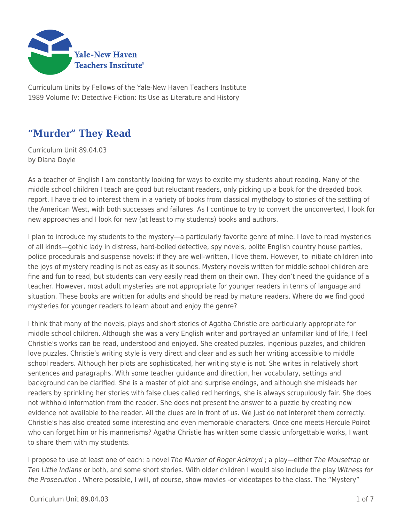

Curriculum Units by Fellows of the Yale-New Haven Teachers Institute 1989 Volume IV: Detective Fiction: Its Use as Literature and History

# **"Murder" They Read**

Curriculum Unit 89.04.03 by Diana Doyle

As a teacher of English I am constantly looking for ways to excite my students about reading. Many of the middle school children I teach are good but reluctant readers, only picking up a book for the dreaded book report. I have tried to interest them in a variety of books from classical mythology to stories of the settling of the American West, with both successes and failures. As I continue to try to convert the unconverted, I look for new approaches and I look for new (at least to my students) books and authors.

I plan to introduce my students to the mystery—a particularly favorite genre of mine. I love to read mysteries of all kinds—gothic lady in distress, hard-boiled detective, spy novels, polite English country house parties, police procedurals and suspense novels: if they are well-written, I love them. However, to initiate children into the joys of mystery reading is not as easy as it sounds. Mystery novels written for middle school children are fine and fun to read, but students can very easily read them on their own. They don't need the guidance of a teacher. However, most adult mysteries are not appropriate for younger readers in terms of language and situation. These books are written for adults and should be read by mature readers. Where do we find good mysteries for younger readers to learn about and enjoy the genre?

I think that many of the novels, plays and short stories of Agatha Christie are particularly appropriate for middle school children. Although she was a very English writer and portrayed an unfamiliar kind of life, I feel Christie's works can be read, understood and enjoyed. She created puzzles, ingenious puzzles, and children love puzzles. Christie's writing style is very direct and clear and as such her writing accessible to middle school readers. Although her plots are sophisticated, her writing style is not. She writes in relatively short sentences and paragraphs. With some teacher guidance and direction, her vocabulary, settings and background can be clarified. She is a master of plot and surprise endings, and although she misleads her readers by sprinkling her stories with false clues called red herrings, she is always scrupulously fair. She does not withhold information from the reader. She does not present the answer to a puzzle by creating new evidence not available to the reader. All the clues are in front of us. We just do not interpret them correctly. Christie's has also created some interesting and even memorable characters. Once one meets Hercule Poirot who can forget him or his mannerisms? Agatha Christie has written some classic unforgettable works, I want to share them with my students.

I propose to use at least one of each: a novel The Murder of Roger Ackroyd; a play—either The Mousetrap or Ten Little Indians or both, and some short stories. With older children I would also include the play Witness for the Prosecution . Where possible, I will, of course, show movies -or videotapes to the class. The "Mystery"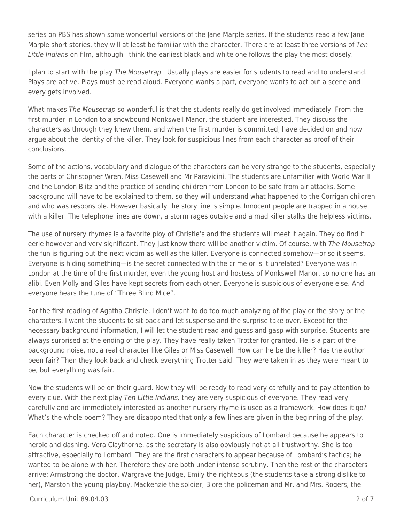series on PBS has shown some wonderful versions of the Jane Marple series. If the students read a few Jane Marple short stories, they will at least be familiar with the character. There are at least three versions of Ten Little Indians on film, although I think the earliest black and white one follows the play the most closely.

I plan to start with the play The Mousetrap. Usually plays are easier for students to read and to understand. Plays are active. Plays must be read aloud. Everyone wants a part, everyone wants to act out a scene and every gets involved.

What makes The Mousetrap so wonderful is that the students really do get involved immediately. From the first murder in London to a snowbound Monkswell Manor, the student are interested. They discuss the characters as through they knew them, and when the first murder is committed, have decided on and now argue about the identity of the killer. They look for suspicious lines from each character as proof of their conclusions.

Some of the actions, vocabulary and dialogue of the characters can be very strange to the students, especially the parts of Christopher Wren, Miss Casewell and Mr Paravicini. The students are unfamiliar with World War II and the London Blitz and the practice of sending children from London to be safe from air attacks. Some background will have to be explained to them, so they will understand what happened to the Corrigan children and who was responsible. However basically the story line is simple. Innocent people are trapped in a house with a killer. The telephone lines are down, a storm rages outside and a mad killer stalks the helpless victims.

The use of nursery rhymes is a favorite ploy of Christie's and the students will meet it again. They do find it eerie however and very significant. They just know there will be another victim. Of course, with The Mousetrap the fun is figuring out the next victim as well as the killer. Everyone is connected somehow—or so it seems. Everyone is hiding something—is the secret connected with the crime or is it unrelated? Everyone was in London at the time of the first murder, even the young host and hostess of Monkswell Manor, so no one has an alibi. Even Molly and Giles have kept secrets from each other. Everyone is suspicious of everyone else. And everyone hears the tune of "Three Blind Mice".

For the first reading of Agatha Christie, I don't want to do too much analyzing of the play or the story or the characters. I want the students to sit back and let suspense and the surprise take over. Except for the necessary background information, I will let the student read and guess and gasp with surprise. Students are always surprised at the ending of the play. They have really taken Trotter for granted. He is a part of the background noise, not a real character like Giles or Miss Casewell. How can he be the killer? Has the author been fair? Then they look back and check everything Trotter said. They were taken in as they were meant to be, but everything was fair.

Now the students will be on their guard. Now they will be ready to read very carefully and to pay attention to every clue. With the next play Ten Little Indians, they are very suspicious of everyone. They read very carefully and are immediately interested as another nursery rhyme is used as a framework. How does it go? What's the whole poem? They are disappointed that only a few lines are given in the beginning of the play.

Each character is checked off and noted. One is immediately suspicious of Lombard because he appears to heroic and dashing. Vera Claythorne, as the secretary is also obviously not at all trustworthy. She is too attractive, especially to Lombard. They are the first characters to appear because of Lombard's tactics; he wanted to be alone with her. Therefore they are both under intense scrutiny. Then the rest of the characters arrive; Armstrong the doctor, Wargrave the Judge, Emily the righteous (the students take a strong dislike to her), Marston the young playboy, Mackenzie the soldier, Blore the policeman and Mr. and Mrs. Rogers, the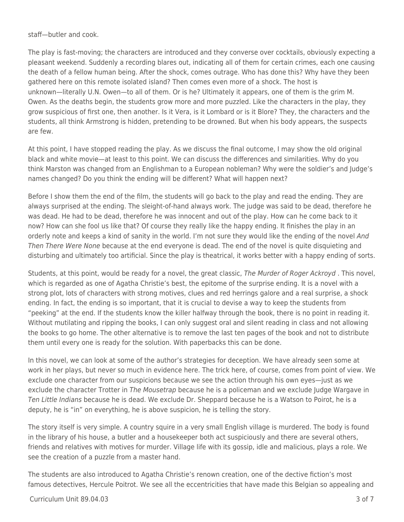staff—butler and cook.

The play is fast-moving; the characters are introduced and they converse over cocktails, obviously expecting a pleasant weekend. Suddenly a recording blares out, indicating all of them for certain crimes, each one causing the death of a fellow human being. After the shock, comes outrage. Who has done this? Why have they been gathered here on this remote isolated island? Then comes even more of a shock. The host is unknown—literally U.N. Owen—to all of them. Or is he? Ultimately it appears, one of them is the grim M. Owen. As the deaths begin, the students grow more and more puzzled. Like the characters in the play, they grow suspicious of first one, then another. Is it Vera, is it Lombard or is it Blore? They, the characters and the students, all think Armstrong is hidden, pretending to be drowned. But when his body appears, the suspects are few.

At this point, I have stopped reading the play. As we discuss the final outcome, I may show the old original black and white movie—at least to this point. We can discuss the differences and similarities. Why do you think Marston was changed from an Englishman to a European nobleman? Why were the soldier's and Judge's names changed? Do you think the ending will be different? What will happen next?

Before I show them the end of the film, the students will go back to the play and read the ending. They are always surprised at the ending. The sleight-of-hand always work. The judge was said to be dead, therefore he was dead. He had to be dead, therefore he was innocent and out of the play. How can he come back to it now? How can she fool us like that? Of course they really like the happy ending. It finishes the play in an orderly note and keeps a kind of sanity in the world. I'm not sure they would like the ending of the novel And Then There Were None because at the end everyone is dead. The end of the novel is quite disquieting and disturbing and ultimately too artificial. Since the play is theatrical, it works better with a happy ending of sorts.

Students, at this point, would be ready for a novel, the great classic, The Murder of Roger Ackroyd. This novel, which is regarded as one of Agatha Christie's best, the epitome of the surprise ending. It is a novel with a strong plot, lots of characters with strong motives, clues and red herrings galore and a real surprise, a shock ending. In fact, the ending is so important, that it is crucial to devise a way to keep the students from "peeking" at the end. If the students know the killer halfway through the book, there is no point in reading it. Without mutilating and ripping the books, I can only suggest oral and silent reading in class and not allowing the books to go home. The other alternative is to remove the last ten pages of the book and not to distribute them until every one is ready for the solution. With paperbacks this can be done.

In this novel, we can look at some of the author's strategies for deception. We have already seen some at work in her plays, but never so much in evidence here. The trick here, of course, comes from point of view. We exclude one character from our suspicions because we see the action through his own eyes—just as we exclude the character Trotter in The Mousetrap because he is a policeman and we exclude Judge Wargave in Ten Little Indians because he is dead. We exclude Dr. Sheppard because he is a Watson to Poirot, he is a deputy, he is "in" on everything, he is above suspicion, he is telling the story.

The story itself is very simple. A country squire in a very small English village is murdered. The body is found in the library of his house, a butler and a housekeeper both act suspiciously and there are several others, friends and relatives with motives for murder. Village life with its gossip, idle and malicious, plays a role. We see the creation of a puzzle from a master hand.

The students are also introduced to Agatha Christie's renown creation, one of the dective fiction's most famous detectives, Hercule Poitrot. We see all the eccentricities that have made this Belgian so appealing and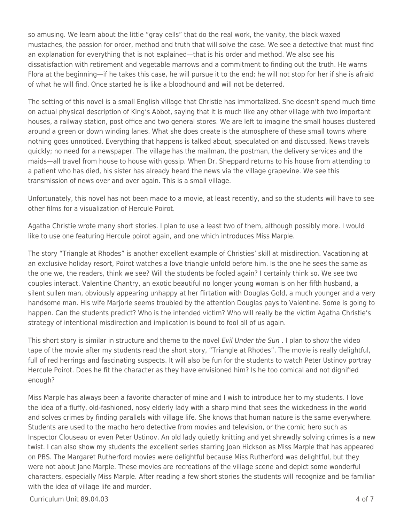so amusing. We learn about the little "gray cells" that do the real work, the vanity, the black waxed mustaches, the passion for order, method and truth that will solve the case. We see a detective that must find an explanation for everything that is not explained—that is his order and method. We also see his dissatisfaction with retirement and vegetable marrows and a commitment to finding out the truth. He warns Flora at the beginning—if he takes this case, he will pursue it to the end; he will not stop for her if she is afraid of what he will find. Once started he is like a bloodhound and will not be deterred.

The setting of this novel is a small English village that Christie has immortalized. She doesn't spend much time on actual physical description of King's Abbot, saying that it is much like any other village with two important houses, a railway station, post office and two general stores. We are left to imagine the small houses clustered around a green or down winding lanes. What she does create is the atmosphere of these small towns where nothing goes unnoticed. Everything that happens is talked about, speculated on and discussed. News travels quickly; no need for a newspaper. The village has the mailman, the postman, the delivery services and the maids—all travel from house to house with gossip. When Dr. Sheppard returns to his house from attending to a patient who has died, his sister has already heard the news via the village grapevine. We see this transmission of news over and over again. This is a small village.

Unfortunately, this novel has not been made to a movie, at least recently, and so the students will have to see other films for a visualization of Hercule Poirot.

Agatha Christie wrote many short stories. I plan to use a least two of them, although possibly more. I would like to use one featuring Hercule poirot again, and one which introduces Miss Marple.

The story "Triangle at Rhodes" is another excellent example of Christies' skill at misdirection. Vacationing at an exclusive holiday resort, Poirot watches a love triangle unfold before him. Is the one he sees the same as the one we, the readers, think we see? Will the students be fooled again? I certainly think so. We see two couples interact. Valentine Chantry, an exotic beautiful no longer young woman is on her fifth husband, a silent sullen man, obviously appearing unhappy at her flirtation with Douglas Gold, a much younger and a very handsome man. His wife Marjorie seems troubled by the attention Douglas pays to Valentine. Some is going to happen. Can the students predict? Who is the intended victim? Who will really be the victim Agatha Christie's strategy of intentional misdirection and implication is bound to fool all of us again.

This short story is similar in structure and theme to the novel Evil Under the Sun. I plan to show the video tape of the movie after my students read the short story, "Triangle at Rhodes". The movie is really delightful, full of red herrings and fascinating suspects. It will also be fun for the students to watch Peter Ustinov portray Hercule Poirot. Does he fit the character as they have envisioned him? Is he too comical and not dignified enough?

Miss Marple has always been a favorite character of mine and I wish to introduce her to my students. I love the idea of a fluffy, old-fashioned, nosy elderly lady with a sharp mind that sees the wickedness in the world and solves crimes by finding parallels with village life. She knows that human nature is the same everywhere. Students are used to the macho hero detective from movies and television, or the comic hero such as Inspector Clouseau or even Peter Ustinov. An old lady quietly knitting and yet shrewdly solving crimes is a new twist. I can also show my students the excellent series starring Joan Hickson as Miss Marple that has appeared on PBS. The Margaret Rutherford movies were delightful because Miss Rutherford was delightful, but they were not about Jane Marple. These movies are recreations of the village scene and depict some wonderful characters, especially Miss Marple. After reading a few short stories the students will recognize and be familiar with the idea of village life and murder.

 $Curir$ iulum Unit 89.04.03  $\qquad \qquad$  4 of 7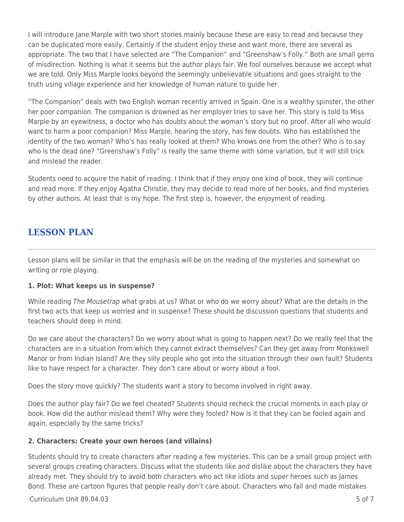I will introduce Jane Marple with two short stories mainly because these are easy to read and because they can be duplicated more easily. Certainly if the student enjoy these and want more, there are several as appropriate. The two that I have selected are "The Companion" and "Greenshaw's Folly." Both are small gems of misdirection. Nothing is what it seems but the author plays fair. We fool ourselves because we accept what we are told. Only Miss Marple looks beyond the seemingly unbelievable situations and goes straight to the truth using village experience and her knowledge of human nature to guide her.

"The Companion" deals with two English woman recently arrived in Spain. One is a wealthy spinster, the other her poor companion. The companion is drowned as her employer tries to save her. This story is told to Miss Marple by an eyewitness, a doctor who has doubts about the woman's story but no proof. After all who would want to harm a poor companion? Miss Marple, hearing the story, has few doubts. Who has established the identity of the two woman? Who's has really looked at them? Who knows one from the other? Who is to say who is the dead one? "Greenshaw's Folly" is really the same theme with some variation, but it will still trick and mislead the reader.

Students need to acquire the habit of reading. I think that if they enjoy one kind of book, they will continue and read more. If they enjoy Agatha Christie, they may decide to read more of her books, and find mysteries by other authors. At least that is my hope. The first step is, however, the enjoyment of reading.

### **LESSON PLAN**

Lesson plans will be similar in that the emphasis will be on the reading of the mysteries and somewhat on writing or role playing.

#### **1. Plot: What keeps us in suspense?**

While reading The Mousetrap what grabs at us? What or who do we worry about? What are the details in the first two acts that keep us worried and in suspense? These should be discussion questions that students and teachers should deep in mind.

Do we care about the characters? Do we worry about what is going to happen next? Do we really feel that the characters are in a situation from which they cannot extract themselves? Can they get away from Monkswell Manor or from Indian Island? Are they silly people who got into the situation through their own fault? Students like to have respect for a character. They don't care about or worry about a fool.

Does the story move quickly? The students want a story to become involved in right away.

Does the author play fair? Do we feel cheated? Students should recheck the crucial moments in each play or book. How did the author mislead them? Why were they fooled? How is it that they can be fooled again and again, especially by the same tricks?

#### **2. Characters: Create your own heroes (and villains)**

Students should try to create characters after reading a few mysteries. This can be a small group project with several groups creating characters. Discuss what the students like and dislike about the characters they have already met. They should try to avoid both characters who act like idiots and super heroes such as James Bond. These are cartoon figures that people really don't care about. Characters who fail and made mistakes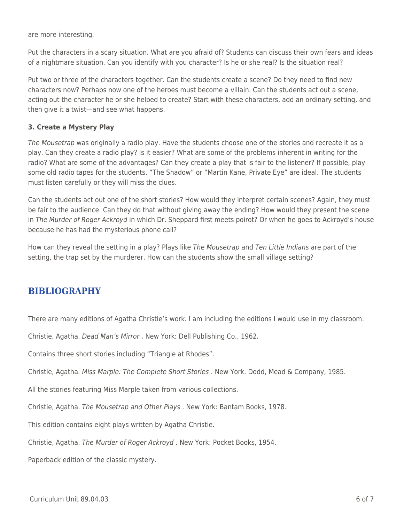are more interesting.

Put the characters in a scary situation. What are you afraid of? Students can discuss their own fears and ideas of a nightmare situation. Can you identify with you character? Is he or she real? Is the situation real?

Put two or three of the characters together. Can the students create a scene? Do they need to find new characters now? Perhaps now one of the heroes must become a villain. Can the students act out a scene, acting out the character he or she helped to create? Start with these characters, add an ordinary setting, and then give it a twist—and see what happens.

#### **3. Create a Mystery Play**

The Mousetrap was originally a radio play. Have the students choose one of the stories and recreate it as a play. Can they create a radio play? Is it easier? What are some of the problems inherent in writing for the radio? What are some of the advantages? Can they create a play that is fair to the listener? If possible, play some old radio tapes for the students. "The Shadow" or "Martin Kane, Private Eye" are ideal. The students must listen carefully or they will miss the clues.

Can the students act out one of the short stories? How would they interpret certain scenes? Again, they must be fair to the audience. Can they do that without giving away the ending? How would they present the scene in The Murder of Roger Ackroyd in which Dr. Sheppard first meets poirot? Or when he goes to Ackroyd's house because he has had the mysterious phone call?

How can they reveal the setting in a play? Plays like The Mousetrap and Ten Little Indians are part of the setting, the trap set by the murderer. How can the students show the small village setting?

### **BIBLIOGRAPHY**

There are many editions of Agatha Christie's work. I am including the editions I would use in my classroom.

Christie, Agatha. Dead Man's Mirror . New York: Dell Publishing Co., 1962.

Contains three short stories including "Triangle at Rhodes".

Christie, Agatha. Miss Marple: The Complete Short Stories . New York. Dodd, Mead & Company, 1985.

All the stories featuring Miss Marple taken from various collections.

Christie, Agatha. The Mousetrap and Other Plays . New York: Bantam Books, 1978.

This edition contains eight plays written by Agatha Christie.

Christie, Agatha. The Murder of Roger Ackroyd . New York: Pocket Books, 1954.

Paperback edition of the classic mystery.